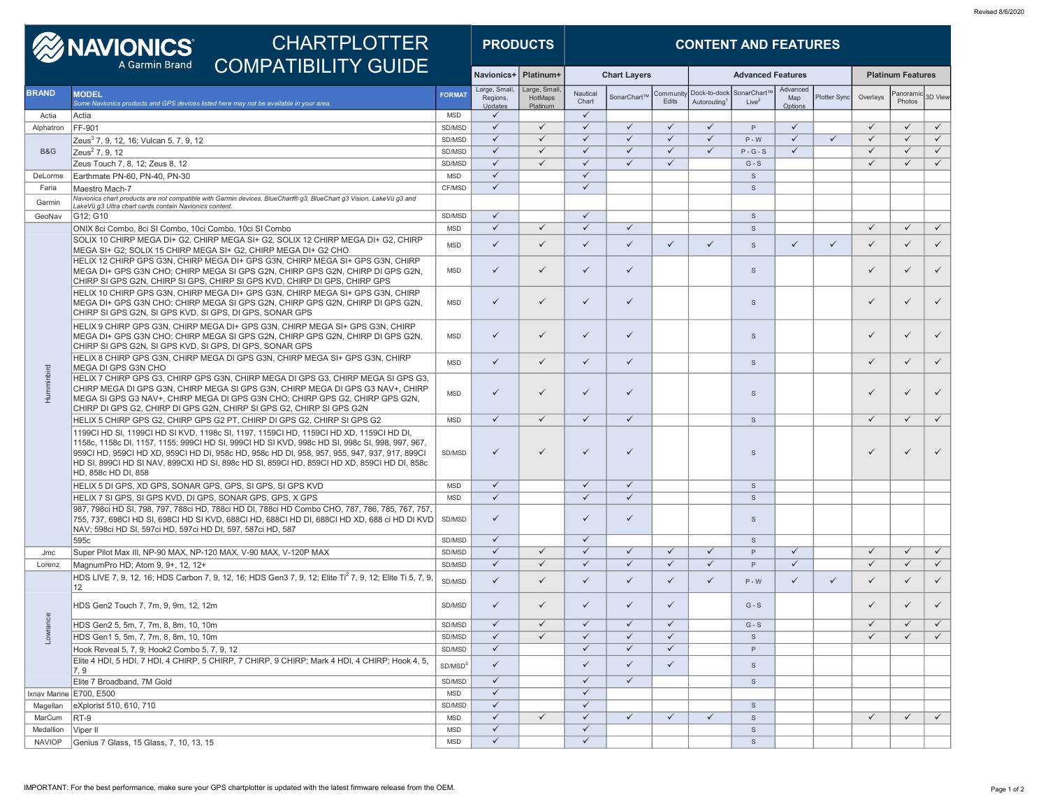| <b>WANDNICS</b><br><b>CHARTPLOTTER</b><br>A Garmin Brand                                           |                                                                  |                                                                                                                                                                                                                                                                                                                                                                                        | <b>PRODUCTS</b>          |                                     | <b>CONTENT AND FEATURES</b>         |                              |                     |                    |                                          |                                     |                            |              |              |                                |              |  |
|----------------------------------------------------------------------------------------------------|------------------------------------------------------------------|----------------------------------------------------------------------------------------------------------------------------------------------------------------------------------------------------------------------------------------------------------------------------------------------------------------------------------------------------------------------------------------|--------------------------|-------------------------------------|-------------------------------------|------------------------------|---------------------|--------------------|------------------------------------------|-------------------------------------|----------------------------|--------------|--------------|--------------------------------|--------------|--|
|                                                                                                    |                                                                  | <b>COMPATIBILITY GUIDE</b>                                                                                                                                                                                                                                                                                                                                                             |                          | Navionics+                          | Platinum+                           |                              | <b>Chart Lavers</b> |                    |                                          | <b>Advanced Features</b>            |                            |              |              | <b>Platinum Features</b>       |              |  |
| <b>BRAND</b>                                                                                       | <b>MODEL</b>                                                     | Some Navionics products and GPS devices listed here may not be available in your area.                                                                                                                                                                                                                                                                                                 | <b>FORMAT</b>            | Large, Small<br>Regions,<br>Updates | Large, Small<br>HotMaps<br>Platinum | Nautical<br>Chart            | SonarChart          | Community<br>Edits | Dock-to-dock<br>Autorouting <sup>1</sup> | SonarChart <sup>1</sup><br>$Live^2$ | Advanced<br>Map<br>Options | Plotter Sync | Overlays     | anorami <sup>,</sup><br>Photos | 3D View      |  |
| Actia                                                                                              | Actia                                                            |                                                                                                                                                                                                                                                                                                                                                                                        | <b>MSD</b>               | $\checkmark$                        |                                     | $\checkmark$                 |                     |                    |                                          |                                     |                            |              |              |                                |              |  |
| Alphatron                                                                                          | FF-901                                                           |                                                                                                                                                                                                                                                                                                                                                                                        | SD/MSD                   | $\checkmark$                        | $\checkmark$                        | $\checkmark$                 | $\checkmark$        | $\checkmark$       | $\checkmark$                             | P                                   | $\checkmark$               |              | $\checkmark$ | $\checkmark$                   | $\checkmark$ |  |
|                                                                                                    | Zeus <sup>3</sup> 7, 9, 12, 16; Vulcan 5, 7, 9, 12               |                                                                                                                                                                                                                                                                                                                                                                                        | SD/MSD                   | $\checkmark$                        | $\checkmark$                        | $\checkmark$                 | $\checkmark$        | $\checkmark$       | $\checkmark$                             | $P - W$                             | $\checkmark$               | $\checkmark$ | $\checkmark$ | $\checkmark$                   | $\checkmark$ |  |
| B&G                                                                                                | Zeus <sup>2</sup> 7, 9, 12                                       |                                                                                                                                                                                                                                                                                                                                                                                        | SD/MSD                   | $\checkmark$                        | $\checkmark$                        | $\checkmark$                 | $\checkmark$        | $\checkmark$       | $\checkmark$                             | $P - G - S$                         | $\checkmark$               |              | $\checkmark$ | $\checkmark$                   | $\checkmark$ |  |
|                                                                                                    | Zeus Touch 7, 8, 12; Zeus 8, 12                                  |                                                                                                                                                                                                                                                                                                                                                                                        | SD/MSD                   | $\checkmark$                        | $\checkmark$                        | $\checkmark$                 | $\checkmark$        | $\checkmark$       |                                          | $G-S$                               |                            |              | $\checkmark$ | $\checkmark$                   | $\checkmark$ |  |
| DeLorme                                                                                            | Earthmate PN-60, PN-40, PN-30                                    |                                                                                                                                                                                                                                                                                                                                                                                        | <b>MSD</b>               | $\checkmark$<br>$\checkmark$        |                                     | $\checkmark$<br>$\checkmark$ |                     |                    |                                          | $\mathbb S$                         |                            |              |              |                                |              |  |
| Faria                                                                                              | Maestro Mach-7                                                   | Navionics chart products are not compatible with Garmin devices. BlueChart® g3, BlueChart g3 Vision, LakeVü g3 and                                                                                                                                                                                                                                                                     | CF/MSD                   |                                     |                                     |                              |                     |                    |                                          | $\mathbb S$                         |                            |              |              |                                |              |  |
| Garmin                                                                                             | LakeVü g3 Ultra chart cards contain Navionics content.           |                                                                                                                                                                                                                                                                                                                                                                                        |                          |                                     |                                     |                              |                     |                    |                                          |                                     |                            |              |              |                                |              |  |
| GeoNav                                                                                             | G12: G10                                                         |                                                                                                                                                                                                                                                                                                                                                                                        | SD/MSD                   | $\checkmark$                        |                                     | $\checkmark$                 |                     |                    |                                          | $\mathsf{s}$                        |                            |              |              |                                |              |  |
|                                                                                                    | ONIX 8ci Combo, 8ci SI Combo, 10ci Combo, 10ci SI Combo          |                                                                                                                                                                                                                                                                                                                                                                                        | <b>MSD</b>               | $\checkmark$                        | $\checkmark$                        | $\checkmark$                 | $\checkmark$        |                    |                                          | $\mathsf{s}$                        |                            |              | $\checkmark$ | $\checkmark$                   | $\checkmark$ |  |
|                                                                                                    |                                                                  | SOLIX 10 CHIRP MEGA DI+ G2. CHIRP MEGA SI+ G2. SOLIX 12 CHIRP MEGA DI+ G2. CHIRP<br>MEGA SI+ G2; SOLIX 15 CHIRP MEGA SI+ G2, CHIRP MEGA DI+ G2 CHO                                                                                                                                                                                                                                     | <b>MSD</b>               | $\checkmark$                        | $\checkmark$                        | ✓                            | $\checkmark$        | $\checkmark$       | ✓                                        | $\mathsf{s}$                        | $\checkmark$               | $\checkmark$ | ✓            | $\checkmark$                   | $\checkmark$ |  |
|                                                                                                    |                                                                  | HELIX 12 CHIRP GPS G3N, CHIRP MEGA DI+ GPS G3N, CHIRP MEGA SI+ GPS G3N, CHIRP<br>MEGA DI+ GPS G3N CHO; CHIRP MEGA SI GPS G2N, CHIRP GPS G2N, CHIRP DI GPS G2N,<br>CHIRP SI GPS G2N, CHIRP SI GPS, CHIRP SI GPS KVD, CHIRP DI GPS, CHIRP GPS                                                                                                                                            | <b>MSD</b>               | ✓                                   | ✓                                   | ✓                            | ✓                   |                    |                                          | $\mathbf{s}$                        |                            |              | $\checkmark$ | $\checkmark$                   | $\checkmark$ |  |
|                                                                                                    | CHIRP SI GPS G2N, SI GPS KVD, SI GPS, DI GPS, SONAR GPS          | HELIX 10 CHIRP GPS G3N, CHIRP MEGA DI+ GPS G3N, CHIRP MEGA SI+ GPS G3N, CHIRP<br>MEGA DI+ GPS G3N CHO; CHIRP MEGA SI GPS G2N, CHIRP GPS G2N, CHIRP DI GPS G2N,                                                                                                                                                                                                                         | <b>MSD</b>               | $\checkmark$                        | $\checkmark$                        | $\checkmark$                 | $\checkmark$        |                    |                                          | $\mathbb S$                         |                            |              | $\checkmark$ | $\checkmark$                   | $\checkmark$ |  |
|                                                                                                    | CHIRP SI GPS G2N, SI GPS KVD, SI GPS, DI GPS, SONAR GPS          | HELIX 9 CHIRP GPS G3N, CHIRP MEGA DI+ GPS G3N, CHIRP MEGA SI+ GPS G3N, CHIRP<br>MEGA DI+ GPS G3N CHO: CHIRP MEGA SI GPS G2N, CHIRP GPS G2N, CHIRP DI GPS G2N,                                                                                                                                                                                                                          | <b>MSD</b>               | $\checkmark$                        | $\checkmark$                        | $\checkmark$                 | $\checkmark$        |                    |                                          | $\mathbf{s}$                        |                            |              | $\checkmark$ | ✓                              | $\checkmark$ |  |
| HELIX 8 CHIRP GPS G3N, CHIRP MEGA DI GPS G3N, CHIRP MEGA SI+ GPS G3N, CHIRP<br>MEGA DI GPS G3N CHO |                                                                  |                                                                                                                                                                                                                                                                                                                                                                                        | <b>MSD</b>               | $\checkmark$                        | $\checkmark$                        | $\checkmark$                 | $\checkmark$        |                    |                                          | $\mathbb S$                         |                            |              | $\checkmark$ | $\checkmark$                   | $\checkmark$ |  |
| Humminbird                                                                                         |                                                                  | HELIX 7 CHIRP GPS G3. CHIRP GPS G3N. CHIRP MEGA DI GPS G3. CHIRP MEGA SI GPS G3.<br>CHIRP MEGA DI GPS G3N, CHIRP MEGA SI GPS G3N, CHIRP MEGA DI GPS G3 NAV+, CHIRP<br>MEGA SI GPS G3 NAV+, CHIRP MEGA DI GPS G3N CHO; CHIRP GPS G2, CHIRP GPS G2N,<br>CHIRP DI GPS G2, CHIRP DI GPS G2N, CHIRP SI GPS G2, CHIRP SI GPS G2N                                                             | <b>MSD</b>               | $\checkmark$                        | $\checkmark$                        | $\checkmark$                 | $\checkmark$        |                    |                                          | $\mathsf{s}$                        |                            |              | $\checkmark$ | $\checkmark$                   | $\checkmark$ |  |
|                                                                                                    |                                                                  | HELIX 5 CHIRP GPS G2, CHIRP GPS G2 PT, CHIRP DI GPS G2, CHIRP SI GPS G2                                                                                                                                                                                                                                                                                                                | <b>MSD</b>               | ✓                                   | ✓                                   | $\checkmark$                 | $\checkmark$        |                    |                                          | $\mathsf{s}$                        |                            |              | $\checkmark$ | $\checkmark$                   | $\checkmark$ |  |
|                                                                                                    | HD, 858c HD DI, 858                                              | 1199CI HD SI, 1199CI HD SI KVD, 1198c SI, 1197, 1159CI HD, 1159CI HD XD, 1159CI HD DI,<br>1158c, 1158c DI, 1157, 1155; 999CI HD SI, 999CI HD SI KVD, 998c HD SI, 998c SI, 998, 997, 967,<br>959CI HD, 959CI HD XD, 959CI HD DI, 958c HD, 958c HD DI, 958, 957, 955, 947, 937, 917, 899CI<br>HD SI, 899CI HD SI NAV, 899CXI HD SI, 898c HD SI, 859CI HD, 859CI HD XD, 859CI HD DI, 858c | SD/MSD                   | $\checkmark$                        | ✓                                   | $\checkmark$                 | $\checkmark$        |                    |                                          | $\mathbf{s}$                        |                            |              | ✓            | ✓                              |              |  |
|                                                                                                    | HELIX 5 DI GPS, XD GPS, SONAR GPS, GPS, SI GPS, SI GPS KVD       |                                                                                                                                                                                                                                                                                                                                                                                        | <b>MSD</b>               | $\checkmark$                        |                                     | $\checkmark$                 | $\checkmark$        |                    |                                          | $\mathbb S$                         |                            |              |              |                                |              |  |
|                                                                                                    | HELIX 7 SI GPS, SI GPS KVD, DI GPS, SONAR GPS, GPS, X GPS        |                                                                                                                                                                                                                                                                                                                                                                                        | <b>MSD</b>               | $\checkmark$                        |                                     | $\checkmark$                 | $\checkmark$        |                    |                                          | $\mathbb S$                         |                            |              |              |                                |              |  |
|                                                                                                    | NAV; 598ci HD SI, 597ci HD, 597ci HD DI, 597, 587ci HD, 587      | 987, 798ci HD SI, 798, 797, 788ci HD, 788ci HD DI, 788ci HD Combo CHO, 787, 786, 785, 767, 757<br>755, 737, 698CI HD SI, 698CI HD SI KVD, 688CI HD, 688CI HD DI, 688CI HD XD, 688 ci HD DI KVD                                                                                                                                                                                         | SD/MSD                   | $\checkmark$                        |                                     | $\checkmark$                 | $\checkmark$        |                    |                                          | $\mathsf{s}$                        |                            |              |              |                                |              |  |
|                                                                                                    | 595c                                                             |                                                                                                                                                                                                                                                                                                                                                                                        | SD/MSD                   | $\checkmark$                        |                                     | $\checkmark$                 |                     |                    |                                          | $\mathbf{s}$                        |                            |              |              |                                |              |  |
| Jmc                                                                                                | Super Pilot Max III. NP-90 MAX. NP-120 MAX. V-90 MAX. V-120P MAX |                                                                                                                                                                                                                                                                                                                                                                                        | SD/MSD                   | $\checkmark$                        | $\checkmark$                        | $\checkmark$                 | $\checkmark$        | $\checkmark$       | $\checkmark$                             | P                                   | $\checkmark$               |              | $\checkmark$ | $\checkmark$                   | $\checkmark$ |  |
| Lorenz                                                                                             | MagnumPro HD; Atom 9, 9+, 12, 12+                                |                                                                                                                                                                                                                                                                                                                                                                                        | SD/MSD                   | $\checkmark$                        | $\checkmark$                        | $\checkmark$                 | $\checkmark$        | $\checkmark$       | $\checkmark$                             | P                                   | $\checkmark$               |              | $\checkmark$ | $\checkmark$                   | $\checkmark$ |  |
|                                                                                                    | 12                                                               | HDS LIVE 7, 9, 12, 16; HDS Carbon 7, 9, 12, 16; HDS Gen3 7, 9, 12; Elite Ti <sup>2</sup> 7, 9, 12; Elite Ti 5, 7, 9,                                                                                                                                                                                                                                                                   | SD/MSD                   | $\checkmark$                        | $\checkmark$                        | $\checkmark$                 | $\checkmark$        | $\checkmark$       | $\checkmark$                             | $P - W$                             | ✓                          | $\checkmark$ | $\checkmark$ | $\checkmark$                   | $\checkmark$ |  |
| e.                                                                                                 | HDS Gen2 Touch 7, 7m, 9, 9m, 12, 12m                             |                                                                                                                                                                                                                                                                                                                                                                                        | SD/MSD                   | $\checkmark$                        | ✓                                   | ✓                            | ✓                   | $\checkmark$       |                                          | $G-S$                               |                            |              | $\checkmark$ |                                |              |  |
|                                                                                                    | HDS Gen2 5, 5m, 7, 7m, 8, 8m, 10, 10m                            |                                                                                                                                                                                                                                                                                                                                                                                        | SD/MSD                   | $\checkmark$                        | $\checkmark$                        | $\checkmark$                 | $\checkmark$        | $\checkmark$       |                                          | $G-S$                               |                            |              | $\checkmark$ |                                | $\checkmark$ |  |
| ns <sub>1</sub> <sub>wo</sub>                                                                      | HDS Gen1 5, 5m, 7, 7m, 8, 8m, 10, 10m                            |                                                                                                                                                                                                                                                                                                                                                                                        | SD/MSD                   | $\checkmark$                        | $\checkmark$                        | $\checkmark$                 | $\checkmark$        | $\checkmark$       |                                          | $\mathsf{s}$                        |                            |              | $\checkmark$ | $\checkmark$                   | $\checkmark$ |  |
|                                                                                                    | Hook Reveal 5, 7, 9; Hook2 Combo 5, 7, 9, 12                     |                                                                                                                                                                                                                                                                                                                                                                                        | SD/MSD                   | $\checkmark$                        |                                     | $\checkmark$                 | $\checkmark$        | $\checkmark$       |                                          | P                                   |                            |              |              |                                |              |  |
|                                                                                                    | 7, 9                                                             | Elite 4 HDI, 5 HDI, 7 HDI, 4 CHIRP, 5 CHIRP, 7 CHIRP, 9 CHIRP; Mark 4 HDI, 4 CHIRP; Hook 4, 5,                                                                                                                                                                                                                                                                                         | SD/MSD <sup>3</sup>      | $\checkmark$                        |                                     | $\checkmark$                 | $\checkmark$        | $\checkmark$       |                                          | $\mathsf S$                         |                            |              |              |                                |              |  |
|                                                                                                    | Elite 7 Broadband, 7M Gold                                       |                                                                                                                                                                                                                                                                                                                                                                                        | SD/MSD                   | $\checkmark$                        |                                     | $\checkmark$                 | $\checkmark$        |                    |                                          | $\mathsf{S}$                        |                            |              |              |                                |              |  |
|                                                                                                    | Ixnav Marine E700, E500                                          |                                                                                                                                                                                                                                                                                                                                                                                        | <b>MSD</b>               | $\checkmark$                        |                                     | $\checkmark$                 |                     |                    |                                          |                                     |                            |              |              |                                |              |  |
| Magellan                                                                                           | eXplorist 510, 610, 710                                          |                                                                                                                                                                                                                                                                                                                                                                                        | SD/MSD                   | $\checkmark$<br>$\checkmark$        | $\checkmark$                        | $\checkmark$<br>$\checkmark$ | $\checkmark$        | $\checkmark$       | $\checkmark$                             | $\mathsf{s}$                        |                            |              | $\checkmark$ | $\checkmark$                   | $\checkmark$ |  |
| MarCum                                                                                             | $RT-9$<br>Viper II                                               |                                                                                                                                                                                                                                                                                                                                                                                        | <b>MSD</b><br><b>MSD</b> | $\checkmark$                        |                                     | $\checkmark$                 |                     |                    |                                          | $\mathsf{s}$<br>$\mathbb S$         |                            |              |              |                                |              |  |
| Medallion<br><b>NAVIOP</b>                                                                         | Genius 7 Glass, 15 Glass, 7, 10, 13, 15                          |                                                                                                                                                                                                                                                                                                                                                                                        | <b>MSD</b>               | $\checkmark$                        |                                     | $\checkmark$                 |                     |                    |                                          | $\mathbb S$                         |                            |              |              |                                |              |  |
|                                                                                                    |                                                                  |                                                                                                                                                                                                                                                                                                                                                                                        |                          |                                     |                                     |                              |                     |                    |                                          |                                     |                            |              |              |                                |              |  |